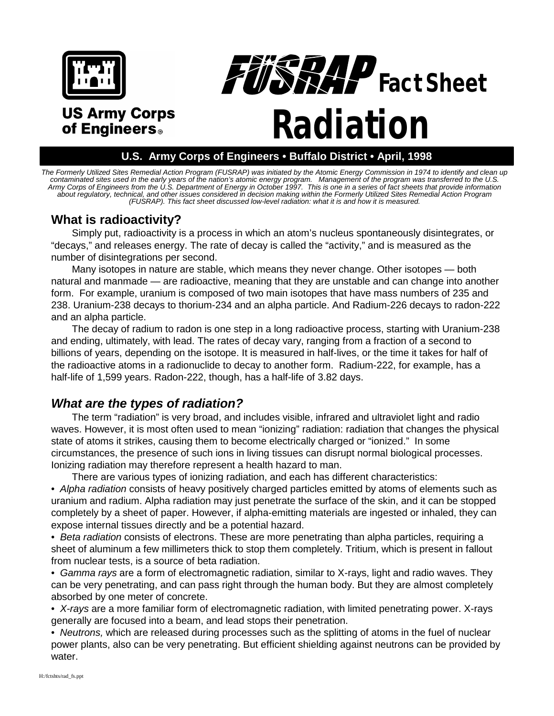



*Radiation*

# **US Army Corps** of Engineers.

# **U.S. Army Corps of Engineers • Buffalo District • April, 1998**

*The Formerly Utilized Sites Remedial Action Program (FUSRAP) was initiated by the Atomic Energy Commission in 1974 to identify and clean up contaminated sites used in the early years of the nation's atomic energy program. Management of the program was transferred to the U.S. Army Corps of Engineers from the U.S. Department of Energy in October 1997. This is one in a series of fact sheets that provide information about regulatory, technical, and other issues considered in decision making within the Formerly Utilized Sites Remedial Action Program (FUSRAP). This fact sheet discussed low-level radiation: what it is and how it is measured.*

### **What is radioactivity?**

Simply put, radioactivity is a process in which an atom's nucleus spontaneously disintegrates, or "decays," and releases energy. The rate of decay is called the "activity," and is measured as the number of disintegrations per second.

Many isotopes in nature are stable, which means they never change. Other isotopes — both natural and manmade — are radioactive, meaning that they are unstable and can change into another form. For example, uranium is composed of two main isotopes that have mass numbers of 235 and 238. Uranium-238 decays to thorium-234 and an alpha particle. And Radium-226 decays to radon-222 and an alpha particle.

The decay of radium to radon is one step in a long radioactive process, starting with Uranium-238 and ending, ultimately, with lead. The rates of decay vary, ranging from a fraction of a second to billions of years, depending on the isotope. It is measured in half-lives, or the time it takes for half of the radioactive atoms in a radionuclide to decay to another form. Radium-222, for example, has a half-life of 1,599 years. Radon-222, though, has a half-life of 3.82 days.

### *What are the types of radiation?*

The term "radiation" is very broad, and includes visible, infrared and ultraviolet light and radio waves. However, it is most often used to mean "ionizing" radiation: radiation that changes the physical state of atoms it strikes, causing them to become electrically charged or "ionized." In some circumstances, the presence of such ions in living tissues can disrupt normal biological processes. Ionizing radiation may therefore represent a health hazard to man.

There are various types of ionizing radiation, and each has different characteristics:

• *Alpha radiation* consists of heavy positively charged particles emitted by atoms of elements such as uranium and radium. Alpha radiation may just penetrate the surface of the skin, and it can be stopped completely by a sheet of paper. However, if alpha-emitting materials are ingested or inhaled, they can expose internal tissues directly and be a potential hazard.

• *Beta radiation* consists of electrons. These are more penetrating than alpha particles, requiring a sheet of aluminum a few millimeters thick to stop them completely. Tritium, which is present in fallout from nuclear tests, is a source of beta radiation.

• *Gamma rays* are a form of electromagnetic radiation, similar to X-rays, light and radio waves. They can be very penetrating, and can pass right through the human body. But they are almost completely absorbed by one meter of concrete.

• *X-rays* are a more familiar form of electromagnetic radiation, with limited penetrating power. X-rays generally are focused into a beam, and lead stops their penetration.

• *Neutrons,* which are released during processes such as the splitting of atoms in the fuel of nuclear power plants, also can be very penetrating. But efficient shielding against neutrons can be provided by water.